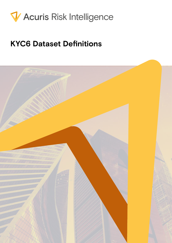

# **KYC6 Dataset Definitions**